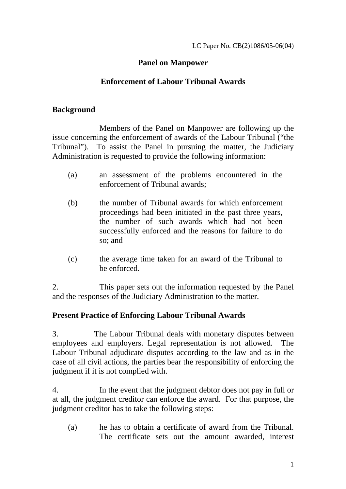# **Panel on Manpower**

### **Enforcement of Labour Tribunal Awards**

#### **Background**

 Members of the Panel on Manpower are following up the issue concerning the enforcement of awards of the Labour Tribunal ("the Tribunal"). To assist the Panel in pursuing the matter, the Judiciary Administration is requested to provide the following information:

- (a) an assessment of the problems encountered in the enforcement of Tribunal awards;
- (b) the number of Tribunal awards for which enforcement proceedings had been initiated in the past three years, the number of such awards which had not been successfully enforced and the reasons for failure to do so; and
- (c) the average time taken for an award of the Tribunal to be enforced.

2. This paper sets out the information requested by the Panel and the responses of the Judiciary Administration to the matter.

#### **Present Practice of Enforcing Labour Tribunal Awards**

3. The Labour Tribunal deals with monetary disputes between employees and employers. Legal representation is not allowed. The Labour Tribunal adjudicate disputes according to the law and as in the case of all civil actions, the parties bear the responsibility of enforcing the judgment if it is not complied with.

4. In the event that the judgment debtor does not pay in full or at all, the judgment creditor can enforce the award. For that purpose, the judgment creditor has to take the following steps:

(a) he has to obtain a certificate of award from the Tribunal. The certificate sets out the amount awarded, interest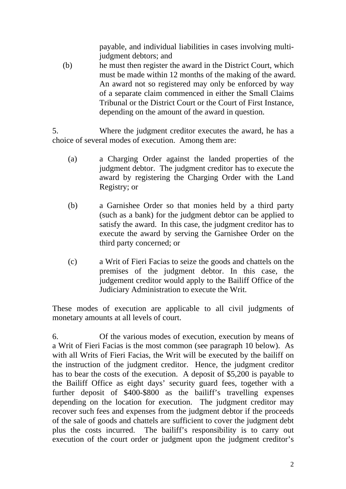payable, and individual liabilities in cases involving multijudgment debtors; and

(b) he must then register the award in the District Court, which must be made within 12 months of the making of the award. An award not so registered may only be enforced by way of a separate claim commenced in either the Small Claims Tribunal or the District Court or the Court of First Instance, depending on the amount of the award in question.

5. Where the judgment creditor executes the award, he has a choice of several modes of execution. Among them are:

- (a) a Charging Order against the landed properties of the judgment debtor. The judgment creditor has to execute the award by registering the Charging Order with the Land Registry; or
- (b) a Garnishee Order so that monies held by a third party (such as a bank) for the judgment debtor can be applied to satisfy the award. In this case, the judgment creditor has to execute the award by serving the Garnishee Order on the third party concerned; or
- (c) a Writ of Fieri Facias to seize the goods and chattels on the premises of the judgment debtor. In this case, the judgement creditor would apply to the Bailiff Office of the Judiciary Administration to execute the Writ.

These modes of execution are applicable to all civil judgments of monetary amounts at all levels of court.

6. Of the various modes of execution, execution by means of a Writ of Fieri Facias is the most common (see paragraph 10 below). As with all Writs of Fieri Facias, the Writ will be executed by the bailiff on the instruction of the judgment creditor. Hence, the judgment creditor has to bear the costs of the execution. A deposit of \$5,200 is payable to the Bailiff Office as eight days' security guard fees, together with a further deposit of \$400-\$800 as the bailiff's travelling expenses depending on the location for execution. The judgment creditor may recover such fees and expenses from the judgment debtor if the proceeds of the sale of goods and chattels are sufficient to cover the judgment debt plus the costs incurred. The bailiff's responsibility is to carry out execution of the court order or judgment upon the judgment creditor's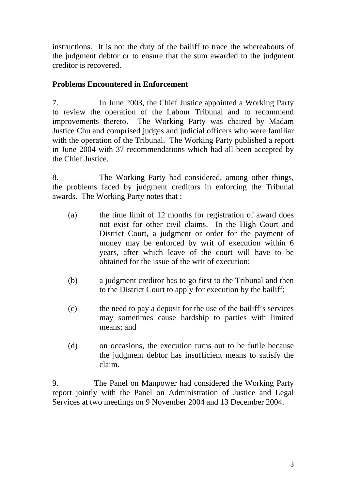instructions. It is not the duty of the bailiff to trace the whereabouts of the judgment debtor or to ensure that the sum awarded to the judgment creditor is recovered.

# **Problems Encountered in Enforcement**

7. In June 2003, the Chief Justice appointed a Working Party to review the operation of the Labour Tribunal and to recommend improvements thereto. The Working Party was chaired by Madam Justice Chu and comprised judges and judicial officers who were familiar with the operation of the Tribunal. The Working Party published a report in June 2004 with 37 recommendations which had all been accepted by the Chief Justice.

8. The Working Party had considered, among other things, the problems faced by judgment creditors in enforcing the Tribunal awards. The Working Party notes that :

- (a) the time limit of 12 months for registration of award does not exist for other civil claims. In the High Court and District Court, a judgment or order for the payment of money may be enforced by writ of execution within 6 years, after which leave of the court will have to be obtained for the issue of the writ of execution;
- (b) a judgment creditor has to go first to the Tribunal and then to the District Court to apply for execution by the bailiff;
- (c) the need to pay a deposit for the use of the bailiff's services may sometimes cause hardship to parties with limited means; and
- (d) on occasions, the execution turns out to be futile because the judgment debtor has insufficient means to satisfy the claim.

9. The Panel on Manpower had considered the Working Party report jointly with the Panel on Administration of Justice and Legal Services at two meetings on 9 November 2004 and 13 December 2004.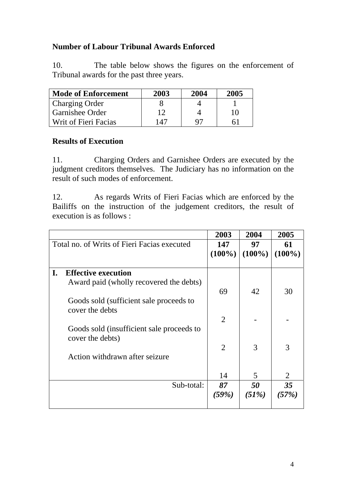### **Number of Labour Tribunal Awards Enforced**

10. The table below shows the figures on the enforcement of Tribunal awards for the past three years.

| <b>Mode of Enforcement</b> | 2003 | 2004 | 2005 |
|----------------------------|------|------|------|
| <b>Charging Order</b>      |      |      |      |
| Garnishee Order            | 12   |      | 10   |
| Writ of Fieri Facias       | 147  | 97   | 61   |

#### **Results of Execution**

11. Charging Orders and Garnishee Orders are executed by the judgment creditors themselves. The Judiciary has no information on the result of such modes of enforcement.

12. As regards Writs of Fieri Facias which are enforced by the Bailiffs on the instruction of the judgement creditors, the result of execution is as follows :

|    |                                                                                                                  | 2003              | 2004             | 2005             |
|----|------------------------------------------------------------------------------------------------------------------|-------------------|------------------|------------------|
|    | Total no. of Writs of Fieri Facias executed                                                                      | 147<br>$(100\%)$  | 97<br>$(100\%)$  | 61<br>$(100\%)$  |
| I. | <b>Effective execution</b><br>Award paid (wholly recovered the debts)<br>Goods sold (sufficient sale proceeds to | 69                | 42               | 30               |
|    | cover the debts<br>Goods sold (insufficient sale proceeds to                                                     | 2                 |                  |                  |
|    | cover the debts)<br>Action withdrawn after seizure                                                               | 2                 | 3                | 3                |
|    | Sub-total:                                                                                                       | 14<br>87<br>(59%) | 5<br>50<br>(51%) | 2<br>35<br>(57%) |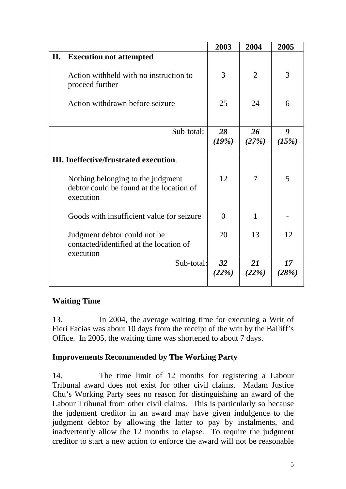|    |                                                                                            | 2003        | 2004           | 2005        |
|----|--------------------------------------------------------------------------------------------|-------------|----------------|-------------|
| П. | <b>Execution not attempted</b>                                                             |             |                |             |
|    | Action withheld with no instruction to<br>proceed further                                  | 3           | $\overline{2}$ | 3           |
|    | Action withdrawn before seizure                                                            | 25          | 24             | 6           |
|    | Sub-total:                                                                                 | 28<br>(19%) | 26<br>(27%)    | 9<br>(15%)  |
|    | <b>III.</b> Ineffective/frustrated execution.                                              |             |                |             |
|    | Nothing belonging to the judgment<br>debtor could be found at the location of<br>execution | 12          | 7              | 5           |
|    | Goods with insufficient value for seizure                                                  | $\Omega$    | 1              |             |
|    | Judgment debtor could not be<br>contacted/identified at the location of<br>execution       | 20          | 13             | 12          |
|    | Sub-total:                                                                                 | 32<br>(22%) | 21<br>(22%)    | 17<br>(28%) |

# **Waiting Time**

13. In 2004, the average waiting time for executing a Writ of Fieri Facias was about 10 days from the receipt of the writ by the Bailiff's Office. In 2005, the waiting time was shortened to about 7 days.

#### **Improvements Recommended by The Working Party**

14. The time limit of 12 months for registering a Labour Tribunal award does not exist for other civil claims. Madam Justice Chu's Working Party sees no reason for distinguishing an award of the Labour Tribunal from other civil claims. This is particularly so because the judgment creditor in an award may have given indulgence to the judgment debtor by allowing the latter to pay by instalments, and inadvertently allow the 12 months to elapse. To require the judgment creditor to start a new action to enforce the award will not be reasonable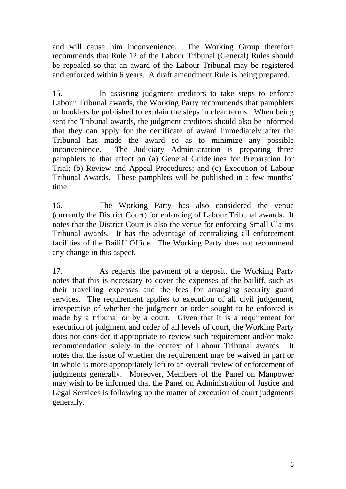and will cause him inconvenience. The Working Group therefore recommends that Rule 12 of the Labour Tribunal (General) Rules should be repealed so that an award of the Labour Tribunal may be registered and enforced within 6 years. A draft amendment Rule is being prepared.

15. In assisting judgment creditors to take steps to enforce Labour Tribunal awards, the Working Party recommends that pamphlets or booklets be published to explain the steps in clear terms. When being sent the Tribunal awards, the judgment creditors should also be informed that they can apply for the certificate of award immediately after the Tribunal has made the award so as to minimize any possible inconvenience. The Judiciary Administration is preparing three pamphlets to that effect on (a) General Guidelines for Preparation for Trial; (b) Review and Appeal Procedures; and (c) Execution of Labour Tribunal Awards. These pamphlets will be published in a few months' time.

16. The Working Party has also considered the venue (currently the District Court) for enforcing of Labour Tribunal awards. It notes that the District Court is also the venue for enforcing Small Claims Tribunal awards. It has the advantage of centralizing all enforcement facilities of the Bailiff Office. The Working Party does not recommend any change in this aspect.

17. As regards the payment of a deposit, the Working Party notes that this is necessary to cover the expenses of the bailiff, such as their travelling expenses and the fees for arranging security guard services. The requirement applies to execution of all civil judgement, irrespective of whether the judgment or order sought to be enforced is made by a tribunal or by a court. Given that it is a requirement for execution of judgment and order of all levels of court, the Working Party does not consider it appropriate to review such requirement and/or make recommendation solely in the context of Labour Tribunal awards. It notes that the issue of whether the requirement may be waived in part or in whole is more appropriately left to an overall review of enforcement of judgments generally. Moreover, Members of the Panel on Manpower may wish to be informed that the Panel on Administration of Justice and Legal Services is following up the matter of execution of court judgments generally.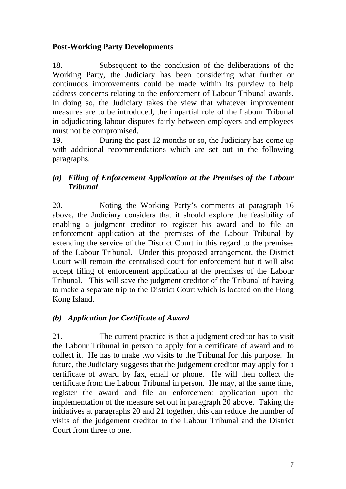#### **Post-Working Party Developments**

18. Subsequent to the conclusion of the deliberations of the Working Party, the Judiciary has been considering what further or continuous improvements could be made within its purview to help address concerns relating to the enforcement of Labour Tribunal awards. In doing so, the Judiciary takes the view that whatever improvement measures are to be introduced, the impartial role of the Labour Tribunal in adjudicating labour disputes fairly between employers and employees must not be compromised.

19. During the past 12 months or so, the Judiciary has come up with additional recommendations which are set out in the following paragraphs.

# *(a) Filing of Enforcement Application at the Premises of the Labour Tribunal*

20. Noting the Working Party's comments at paragraph 16 above, the Judiciary considers that it should explore the feasibility of enabling a judgment creditor to register his award and to file an enforcement application at the premises of the Labour Tribunal by extending the service of the District Court in this regard to the premises of the Labour Tribunal. Under this proposed arrangement, the District Court will remain the centralised court for enforcement but it will also accept filing of enforcement application at the premises of the Labour Tribunal. This will save the judgment creditor of the Tribunal of having to make a separate trip to the District Court which is located on the Hong Kong Island.

# *(b) Application for Certificate of Award*

21. The current practice is that a judgment creditor has to visit the Labour Tribunal in person to apply for a certificate of award and to collect it. He has to make two visits to the Tribunal for this purpose. In future, the Judiciary suggests that the judgement creditor may apply for a certificate of award by fax, email or phone. He will then collect the certificate from the Labour Tribunal in person. He may, at the same time, register the award and file an enforcement application upon the implementation of the measure set out in paragraph 20 above. Taking the initiatives at paragraphs 20 and 21 together, this can reduce the number of visits of the judgement creditor to the Labour Tribunal and the District Court from three to one.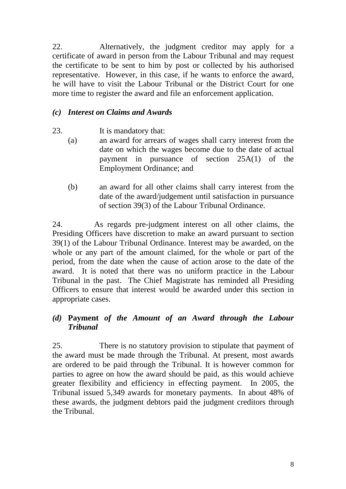22. Alternatively, the judgment creditor may apply for a certificate of award in person from the Labour Tribunal and may request the certificate to be sent to him by post or collected by his authorised representative. However, in this case, if he wants to enforce the award, he will have to visit the Labour Tribunal or the District Court for one more time to register the award and file an enforcement application.

### *(c) Interest on Claims and Awards*

- 23. It is mandatory that:
	- (a) an award for arrears of wages shall carry interest from the date on which the wages become due to the date of actual payment in pursuance of section 25A(1) of the Employment Ordinance; and
	- (b) an award for all other claims shall carry interest from the date of the award/judgement until satisfaction in pursuance of section 39(3) of the Labour Tribunal Ordinance.

24. As regards pre-judgment interest on all other claims, the Presiding Officers have discretion to make an award pursuant to section 39(1) of the Labour Tribunal Ordinance. Interest may be awarded, on the whole or any part of the amount claimed, for the whole or part of the period, from the date when the cause of action arose to the date of the award. It is noted that there was no uniform practice in the Labour Tribunal in the past. The Chief Magistrate has reminded all Presiding Officers to ensure that interest would be awarded under this section in appropriate cases.

# *(d)* **Payment** *of the Amount of an Award through the Labour Tribunal*

25. There is no statutory provision to stipulate that payment of the award must be made through the Tribunal. At present, most awards are ordered to be paid through the Tribunal. It is however common for parties to agree on how the award should be paid, as this would achieve greater flexibility and efficiency in effecting payment. In 2005, the Tribunal issued 5,349 awards for monetary payments. In about 48% of these awards, the judgment debtors paid the judgment creditors through the Tribunal.